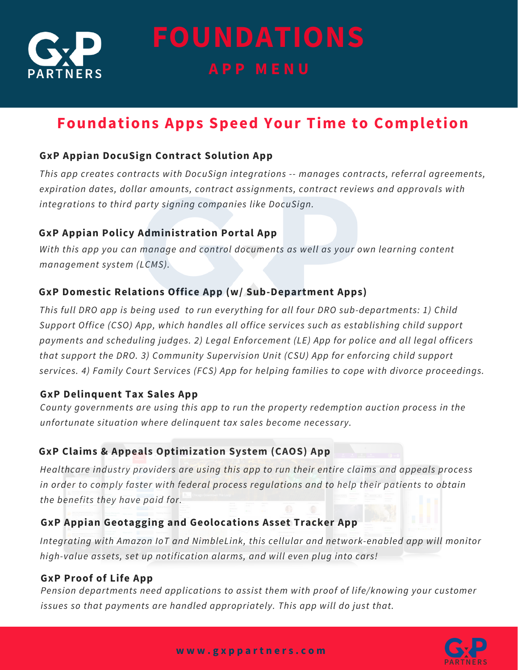

**FOUNDATIONS A P P M E N U**

# **Foundations Apps Speed Your Time to Completion**

# **GxP Appian DocuSign Contract Solution App**

*This app creates contracts with DocuSign integrations -- manages contracts, referral agreements, expiration dates, dollar amounts, contract assignments, contract reviews and approvals with integrations to third party signing companies like DocuSign.*

## **GxP Appian Policy Administration Portal App**

*With this app you can manage and control documents as well as your own learning content management system (LCMS).*

## **GxP Domestic Relations Office App (w/ Sub-Department Apps)**

*This full DRO app is being used to run everything for all four DRO sub-departments: 1) Child Support Office (CSO) App, which handles all office services such as establishing child support payments and scheduling judges. 2) Legal Enforcement (LE) App for police and all legal officers that support the DRO. 3) Community Supervision Unit (CSU) App for enforcing child support services. 4) Family Court Services (FCS) App for helping families to cope with divorce proceedings.*

## **GxP Delinquent Tax Sales App**

*County governments are using this app to run the property redemption auction process in the unfortunate situation where delinquent tax sales become necessary.*

# **GxP Claims & Appeals Optimization System (CAOS) App**

*Healthcare industry providers are using this app to run their entire claims and appeals process in order to comply faster with federal process regulations and to help their patients to obtain the benefits they have paid for.*

## **GxP Appian Geotagging and Geolocations Asset Tracker App**

*Integrating with Amazon IoT and NimbleLink, this cellular and network-enabled app will monitor high-value assets, set up notification alarms, and will even plug into cars!*

## **GxP Proof of Life App**

*Pension departments need applications to assist them with proof of life/knowing your customer issues so that payments are handled appropriately. This app will do just that.*